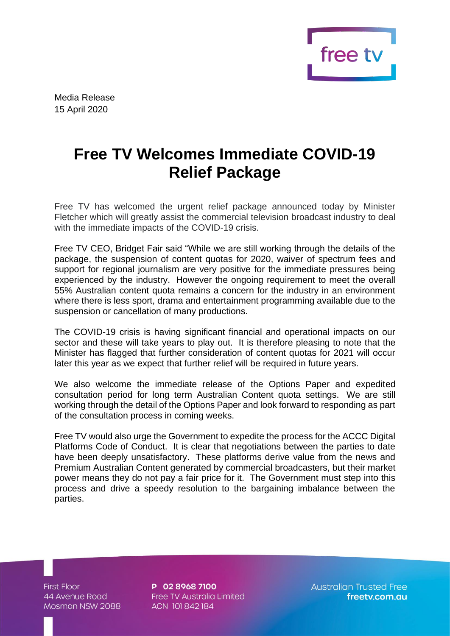

Media Release 15 April 2020

## **Free TV Welcomes Immediate COVID-19 Relief Package**

Free TV has welcomed the urgent relief package announced today by Minister Fletcher which will greatly assist the commercial television broadcast industry to deal with the immediate impacts of the COVID-19 crisis.

Free TV CEO, Bridget Fair said "While we are still working through the details of the package, the suspension of content quotas for 2020, waiver of spectrum fees and support for regional journalism are very positive for the immediate pressures being experienced by the industry. However the ongoing requirement to meet the overall 55% Australian content quota remains a concern for the industry in an environment where there is less sport, drama and entertainment programming available due to the suspension or cancellation of many productions.

The COVID-19 crisis is having significant financial and operational impacts on our sector and these will take years to play out. It is therefore pleasing to note that the Minister has flagged that further consideration of content quotas for 2021 will occur later this year as we expect that further relief will be required in future years.

We also welcome the immediate release of the Options Paper and expedited consultation period for long term Australian Content quota settings. We are still working through the detail of the Options Paper and look forward to responding as part of the consultation process in coming weeks.

Free TV would also urge the Government to expedite the process for the ACCC Digital Platforms Code of Conduct. It is clear that negotiations between the parties to date have been deeply unsatisfactory. These platforms derive value from the news and Premium Australian Content generated by commercial broadcasters, but their market power means they do not pay a fair price for it. The Government must step into this process and drive a speedy resolution to the bargaining imbalance between the parties.

**First Floor** 44 Avenue Road Mosman NSW 2088

P 02 8968 7100 Free TV Australia Limited ACN 101842184

**Australian Trusted Free** freetv.com.au